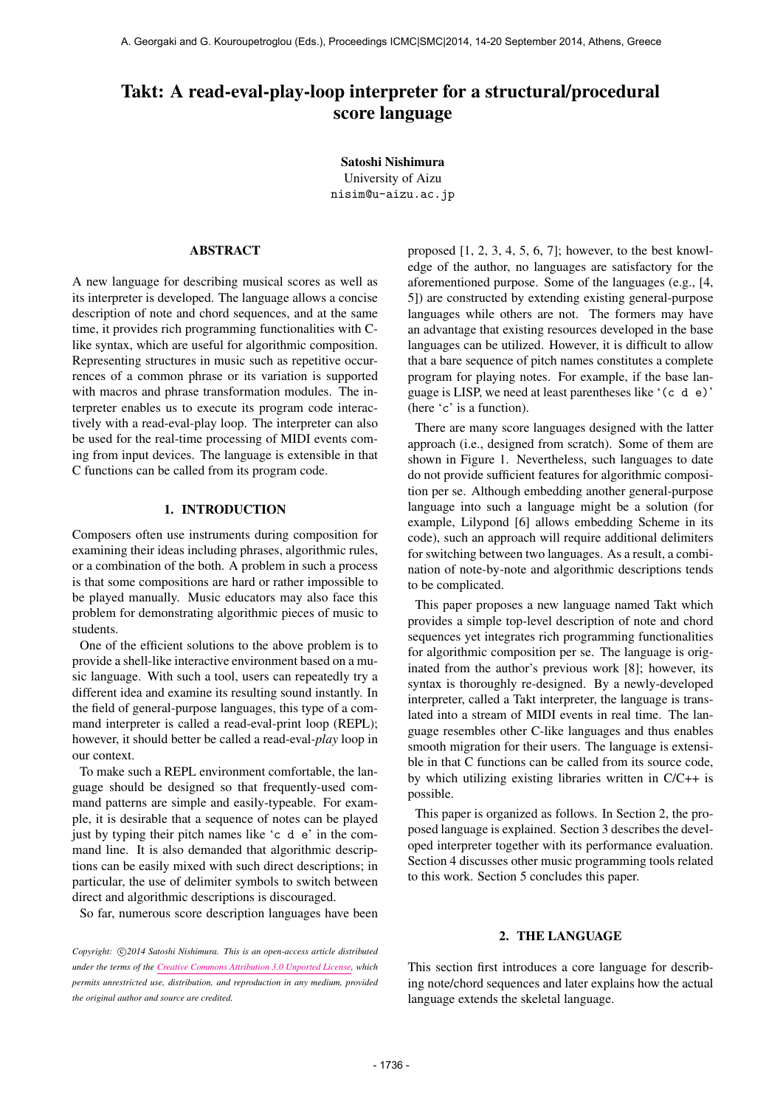# Takt: A read-eval-play-loop interpreter for a structural/procedural score language

Satoshi Nishimura University of Aizu [nisim@u-aizu.ac.jp](mailto:nisim@u-aizu.ac.jp)

# ABSTRACT

A new language for describing musical scores as well as its interpreter is developed. The language allows a concise description of note and chord sequences, and at the same time, it provides rich programming functionalities with Clike syntax, which are useful for algorithmic composition. Representing structures in music such as repetitive occurrences of a common phrase or its variation is supported with macros and phrase transformation modules. The interpreter enables us to execute its program code interactively with a read-eval-play loop. The interpreter can also be used for the real-time processing of MIDI events coming from input devices. The language is extensible in that C functions can be called from its program code.

## 1. INTRODUCTION

Composers often use instruments during composition for examining their ideas including phrases, algorithmic rules, or a combination of the both. A problem in such a process is that some compositions are hard or rather impossible to be played manually. Music educators may also face this problem for demonstrating algorithmic pieces of music to students.

One of the efficient solutions to the above problem is to provide a shell-like interactive environment based on a music language. With such a tool, users can repeatedly try a different idea and examine its resulting sound instantly. In the field of general-purpose languages, this type of a command interpreter is called a read-eval-print loop (REPL); however, it should better be called a read-eval-*play* loop in our context.

To make such a REPL environment comfortable, the language should be designed so that frequently-used command patterns are simple and easily-typeable. For example, it is desirable that a sequence of notes can be played just by typing their pitch names like 'c d e' in the command line. It is also demanded that algorithmic descriptions can be easily mixed with such direct descriptions; in particular, the use of delimiter symbols to switch between direct and algorithmic descriptions is discouraged.

So far, numerous score description languages have been

Copyright:  $\bigcirc$ 2014 Satoshi Nishimura. This is an open-access article distributed *under the terms of the [Creative Commons Attribution 3.0 Unported License,](http://creativecommons.org/licenses/by/3.0/) which permits unrestricted use, distribution, and reproduction in any medium, provided the original author and source are credited.*

proposed [1, 2, 3, 4, 5, 6, 7]; however, to the best knowledge of the author, no languages are satisfactory for the aforementioned purpose. Some of the languages (e.g., [4, 5]) are constructed by extending existing general-purpose languages while others are not. The formers may have an advantage that existing resources developed in the base languages can be utilized. However, it is difficult to allow that a bare sequence of pitch names constitutes a complete program for playing notes. For example, if the base language is LISP, we need at least parentheses like '(c d e)' (here 'c' is a function).

There are many score languages designed with the latter approach (i.e., designed from scratch). Some of them are shown in Figure 1. Nevertheless, such languages to date do not provide sufficient features for algorithmic composition per se. Although embedding another general-purpose language into such a language might be a solution (for example, Lilypond [6] allows embedding Scheme in its code), such an approach will require additional delimiters for switching between two languages. As a result, a combination of note-by-note and algorithmic descriptions tends to be complicated.

This paper proposes a new language named Takt which provides a simple top-level description of note and chord sequences yet integrates rich programming functionalities for algorithmic composition per se. The language is originated from the author's previous work [8]; however, its syntax is thoroughly re-designed. By a newly-developed interpreter, called a Takt interpreter, the language is translated into a stream of MIDI events in real time. The language resembles other C-like languages and thus enables smooth migration for their users. The language is extensible in that C functions can be called from its source code, by which utilizing existing libraries written in C/C++ is possible.

This paper is organized as follows. In Section 2, the proposed language is explained. Section 3 describes the developed interpreter together with its performance evaluation. Section 4 discusses other music programming tools related to this work. Section 5 concludes this paper.

#### 2. THE LANGUAGE

This section first introduces a core language for describing note/chord sequences and later explains how the actual language extends the skeletal language.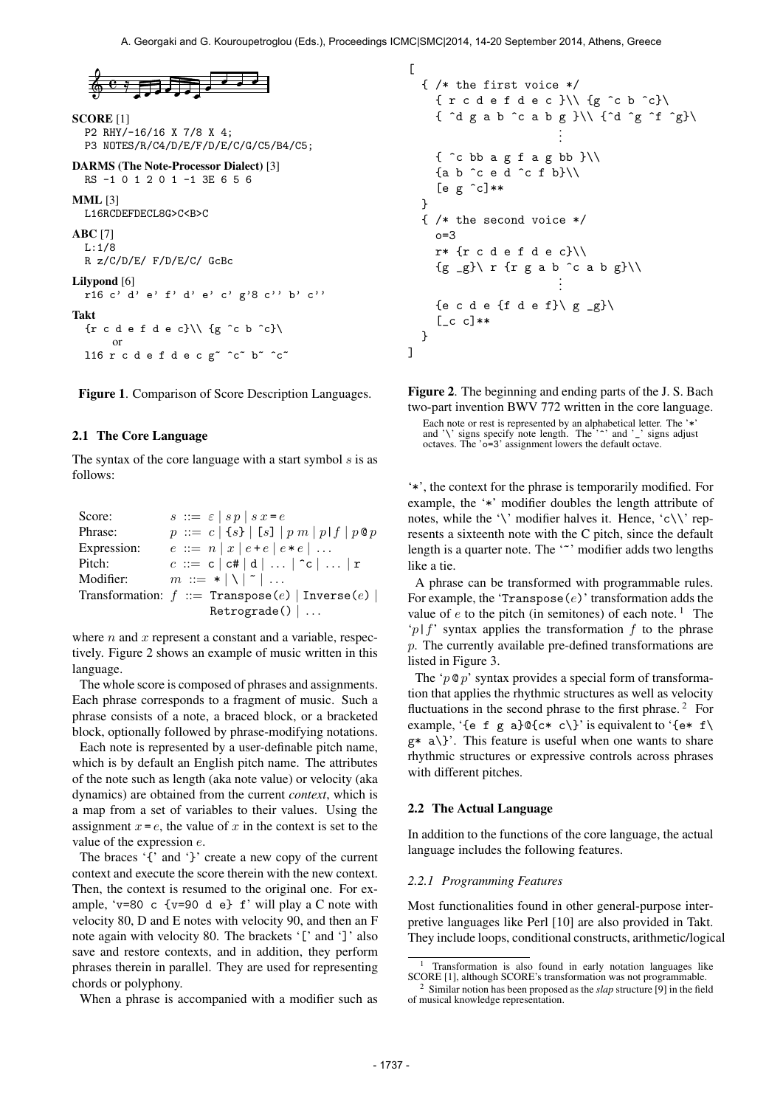

```
SCORE [1]
  P2 RHY/-16/16 X 7/8 X 4;
  P3 NOTES/R/C4/D/E/F/D/E/C/G/C5/B4/C5;
DARMS (The Note-Processor Dialect) [3]
  RS -1 0 1 2 0 1 -1 3E 6 5 6
MML [3]
  L16RCDEFDECL8G>C<B>C
ABC [7]
  L:1/8
  R z/C/D/E/ F/D/E/C/ GcBc
Lilypond [6]
  r16 c' d' e' f' d' e' c' g'8 c'' b' c''
Takt
  \{r \in d \in f \in c\} \setminus \{g \in b \in c\}
```
Figure 1. Comparison of Score Description Languages.

l16 r c d e f d e c g~ ^c~ b~ ^c~

#### 2.1 The Core Language

or

The syntax of the core language with a start symbol  $s$  is as follows:

| Score:      | $s ::= \varepsilon   s p   s x = e$                 |
|-------------|-----------------------------------------------------|
| Phrase:     | $p ::= c   \{s\}   [s]   p m   p   f   p \otimes p$ |
| Expression: | $e ::= n   x   e + e   e * e   $                    |
| Pitch:      | $c ::= c   c#   d      c      r$                    |
| Modifier:   | $m ::= *   \   \   \   \ $                          |
|             | Transformation: $f ::=$ Transpose(e)   Inverse(e)   |
|             | Retrograde()                                        |

where  $n$  and  $x$  represent a constant and a variable, respectively. Figure 2 shows an example of music written in this language.

The whole score is composed of phrases and assignments. Each phrase corresponds to a fragment of music. Such a phrase consists of a note, a braced block, or a bracketed block, optionally followed by phrase-modifying notations.

Each note is represented by a user-definable pitch name, which is by default an English pitch name. The attributes of the note such as length (aka note value) or velocity (aka dynamics) are obtained from the current *context*, which is a map from a set of variables to their values. Using the assignment  $x = e$ , the value of x in the context is set to the value of the expression  $e$ .

The braces '{' and '}' create a new copy of the current context and execute the score therein with the new context. Then, the context is resumed to the original one. For example, 'v=80 c {v=90 d e}  $f'$  will play a C note with velocity 80, D and E notes with velocity 90, and then an F note again with velocity 80. The brackets '[' and ']' also save and restore contexts, and in addition, they perform phrases therein in parallel. They are used for representing chords or polyphony.

When a phrase is accompanied with a modifier such as

```
\sqrt{ }{ /* the first voice */
     {r c d e f d e c}\\{g ^c b ^c}\
     { ^d g a b ^c a b g }\\ {^d ^g ^f ^g}\
                            .
                            .
                            .
     \{\hat{c} bb a g f a g bb \} \setminus \{{a \ b \ c \ e \ d \ c \ f \ b} \[e g \n\degree c]**
  }
  { /* the second voice */
     o=3
     r* {r c d e f d e c}\\
     {g \supseteq g} \Gamma fr g a b \hat{C} a b g}\\
                            .
                            .
     {e c d e {f d e f}\ g _g}\
     [-c \ c]**
  }
]
```
Figure 2. The beginning and ending parts of the J. S. Bach two-part invention BWV 772 written in the core language. Each note or rest is represented by an alphabetical letter. The '\*' and '\' signs specify note length. The '<sup>-</sup>' and '\' signs adjust octaves. The 'o=3' assignment lowers the default octave.

'\*', the context for the phrase is temporarily modified. For example, the '\*' modifier doubles the length attribute of notes, while the '\' modifier halves it. Hence, 'c\\' represents a sixteenth note with the C pitch, since the default length is a quarter note. The '<sup>\*</sup>' modifier adds two lengths like a tie.

A phrase can be transformed with programmable rules. For example, the 'Transpose( $e$ )' transformation adds the value of  $e$  to the pitch (in semitones) of each note.<sup>1</sup> The 'p|f' syntax applies the transformation f to the phrase p. The currently available pre-defined transformations are listed in Figure 3.

The ' $p \otimes p$ ' syntax provides a special form of transformation that applies the rhythmic structures as well as velocity fluctuations in the second phrase to the first phrase.<sup>2</sup> For example, '{e f g a}@{c\* c\}' is equivalent to '{e\* f\  $g* a$  a \}. This feature is useful when one wants to share rhythmic structures or expressive controls across phrases with different pitches.

#### 2.2 The Actual Language

In addition to the functions of the core language, the actual language includes the following features.

#### *2.2.1 Programming Features*

Most functionalities found in other general-purpose interpretive languages like Perl [10] are also provided in Takt. They include loops, conditional constructs, arithmetic/logical

<sup>1</sup> Transformation is also found in early notation languages like SCORE [1], although SCORE's transformation was not programmable.

<sup>2</sup> Similar notion has been proposed as the *slap* structure [9] in the field of musical knowledge representation.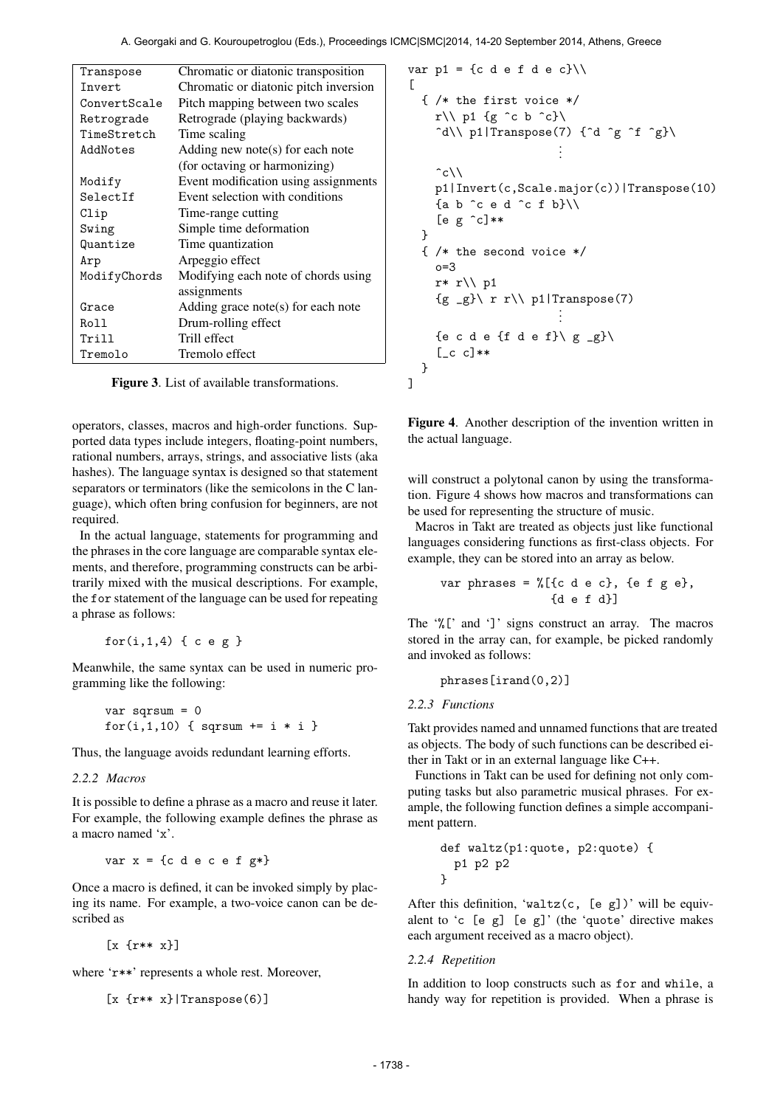A. Georgaki and G. Kouroupetroglou (Eds.), Proceedings ICMC|SMC|2014, 14-20 September 2014, Athens, Greece

| Transpose    | Chromatic or diatonic transposition   |  |
|--------------|---------------------------------------|--|
| Tnvert.      | Chromatic or diatonic pitch inversion |  |
| ConvertScale | Pitch mapping between two scales      |  |
| Retrograde   | Retrograde (playing backwards)        |  |
| TimeStretch  | Time scaling                          |  |
| AddNotes     | Adding new note(s) for each note      |  |
|              | (for octaving or harmonizing)         |  |
| Modify       | Event modification using assignments  |  |
| SelectIf     | Event selection with conditions       |  |
| Clip         | Time-range cutting                    |  |
| Swing        | Simple time deformation               |  |
| Quantize     | Time quantization                     |  |
| Arp          | Arpeggio effect                       |  |
| ModifyChords | Modifying each note of chords using   |  |
|              | assignments                           |  |
| Grace        | Adding grace note(s) for each note    |  |
| Roll         | Drum-rolling effect                   |  |
| Trill        | Trill effect                          |  |
| Tremolo      | Tremolo effect                        |  |

Figure 3. List of available transformations.

operators, classes, macros and high-order functions. Supported data types include integers, floating-point numbers, rational numbers, arrays, strings, and associative lists (aka hashes). The language syntax is designed so that statement separators or terminators (like the semicolons in the C language), which often bring confusion for beginners, are not required.

In the actual language, statements for programming and the phrases in the core language are comparable syntax elements, and therefore, programming constructs can be arbitrarily mixed with the musical descriptions. For example, the for statement of the language can be used for repeating a phrase as follows:

```
for(i,1,4) { c e g }
```
Meanwhile, the same syntax can be used in numeric programming like the following:

```
var sqrsum = 0
for(i,1,10) { sqrt + = i * i }
```
Thus, the language avoids redundant learning efforts.

## *2.2.2 Macros*

It is possible to define a phrase as a macro and reuse it later. For example, the following example defines the phrase as a macro named 'x'.

```
var x = \{c \in c \in c \in f \leq r^*\}
```
Once a macro is defined, it can be invoked simply by placing its name. For example, a two-voice canon can be described as

[x {r\*\* x}]

where 'r\*\*' represents a whole rest. Moreover,

```
[x \{r** x\} | \text{Transpose}(6)]
```

```
var p1 = {c d e f d e c}\\
\lceil{ /* the first voice */
    r\\p1 {g ^c b ^c}\
     \hat{d}\ p1|Transpose(7) {\hat{d} \hat{g} \hat{f} \hat{g}\.
                           .
                           .
    \hat{c}\setminusp1|Invert(c,Scale.major(c))|Transpose(10)
    {a b ^c e d ^c f b}\\
    [e g \n\degree c]**
  }
  { /* the second voice */
    n=3r* r\\ p1
     {g _g}\ r r\\ p1|Transpose(7)
.
                           .
                           .
    {e c d e {f d e f}\ g _g}\
     [-c \ c]**}
]
```
Figure 4. Another description of the invention written in the actual language.

will construct a polytonal canon by using the transformation. Figure 4 shows how macros and transformations can be used for representing the structure of music.

Macros in Takt are treated as objects just like functional languages considering functions as first-class objects. For example, they can be stored into an array as below.

$$
\text{var phrases} = \text{\%}[\{c \ d \ e \ c\}, \ \{e \ f \ g \ e\}, \ \{d \ e \ f \ d\}]
$$

The '%[' and ']' signs construct an array. The macros stored in the array can, for example, be picked randomly and invoked as follows:

phrases[irand(0,2)]

## *2.2.3 Functions*

Takt provides named and unnamed functions that are treated as objects. The body of such functions can be described either in Takt or in an external language like C++.

Functions in Takt can be used for defining not only computing tasks but also parametric musical phrases. For example, the following function defines a simple accompaniment pattern.

def waltz(p1:quote, p2:quote) { p1 p2 p2 }

After this definition, 'waltz $(c, [e \ g])$ ' will be equivalent to 'c  $[e \ g]$   $[e \ g]'$  (the 'quote' directive makes each argument received as a macro object).

## *2.2.4 Repetition*

In addition to loop constructs such as for and while, a handy way for repetition is provided. When a phrase is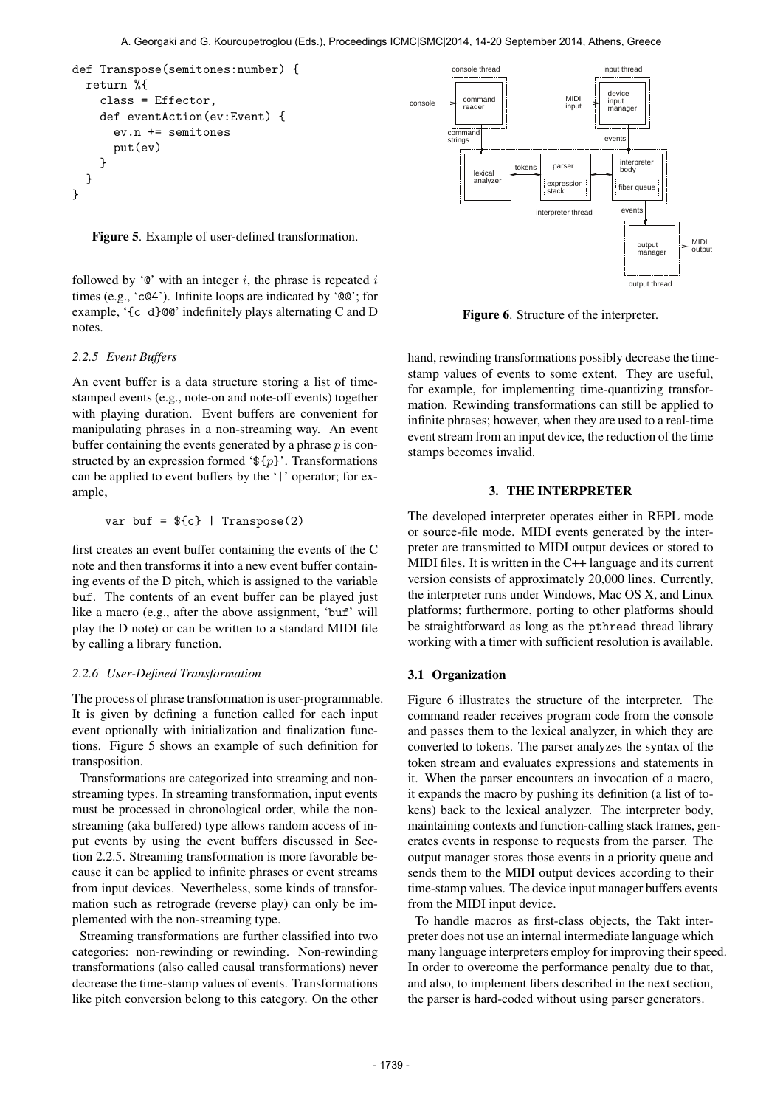```
def Transpose(semitones:number) {
 return %{
    class = Effector,
    def eventAction(ev:Event) {
      ev.n += semitones
      put(ev)
    }
 }
}
```
Figure 5. Example of user-defined transformation.

followed by ' $\mathbf{e}$ ' with an integer i, the phrase is repeated i times (e.g., 'c@4'). Infinite loops are indicated by '@@'; for example, '{c d}@@' indefinitely plays alternating C and D notes.

### *2.2.5 Event Buffers*

An event buffer is a data structure storing a list of timestamped events (e.g., note-on and note-off events) together with playing duration. Event buffers are convenient for manipulating phrases in a non-streaming way. An event buffer containing the events generated by a phrase  $p$  is constructed by an expression formed ' $\mathfrak{F}{p}$ '. Transformations can be applied to event buffers by the '|' operator; for example,

$$
var \; but = \${c} \; | \; Transpose(2)
$$

first creates an event buffer containing the events of the C note and then transforms it into a new event buffer containing events of the D pitch, which is assigned to the variable buf. The contents of an event buffer can be played just like a macro (e.g., after the above assignment, 'buf' will play the D note) or can be written to a standard MIDI file by calling a library function.

### *2.2.6 User-Defined Transformation*

The process of phrase transformation is user-programmable. It is given by defining a function called for each input event optionally with initialization and finalization functions. Figure 5 shows an example of such definition for transposition.

Transformations are categorized into streaming and nonstreaming types. In streaming transformation, input events must be processed in chronological order, while the nonstreaming (aka buffered) type allows random access of input events by using the event buffers discussed in Section 2.2.5. Streaming transformation is more favorable because it can be applied to infinite phrases or event streams from input devices. Nevertheless, some kinds of transformation such as retrograde (reverse play) can only be implemented with the non-streaming type.

Streaming transformations are further classified into two categories: non-rewinding or rewinding. Non-rewinding transformations (also called causal transformations) never decrease the time-stamp values of events. Transformations like pitch conversion belong to this category. On the other



Figure 6. Structure of the interpreter.

hand, rewinding transformations possibly decrease the timestamp values of events to some extent. They are useful, for example, for implementing time-quantizing transformation. Rewinding transformations can still be applied to infinite phrases; however, when they are used to a real-time event stream from an input device, the reduction of the time stamps becomes invalid.

## 3. THE INTERPRETER

The developed interpreter operates either in REPL mode or source-file mode. MIDI events generated by the interpreter are transmitted to MIDI output devices or stored to MIDI files. It is written in the C++ language and its current version consists of approximately 20,000 lines. Currently, the interpreter runs under Windows, Mac OS X, and Linux platforms; furthermore, porting to other platforms should be straightforward as long as the pthread thread library working with a timer with sufficient resolution is available.

#### 3.1 Organization

Figure 6 illustrates the structure of the interpreter. The command reader receives program code from the console and passes them to the lexical analyzer, in which they are converted to tokens. The parser analyzes the syntax of the token stream and evaluates expressions and statements in it. When the parser encounters an invocation of a macro, it expands the macro by pushing its definition (a list of tokens) back to the lexical analyzer. The interpreter body, maintaining contexts and function-calling stack frames, generates events in response to requests from the parser. The output manager stores those events in a priority queue and sends them to the MIDI output devices according to their time-stamp values. The device input manager buffers events from the MIDI input device.

To handle macros as first-class objects, the Takt interpreter does not use an internal intermediate language which many language interpreters employ for improving their speed. In order to overcome the performance penalty due to that, and also, to implement fibers described in the next section, the parser is hard-coded without using parser generators.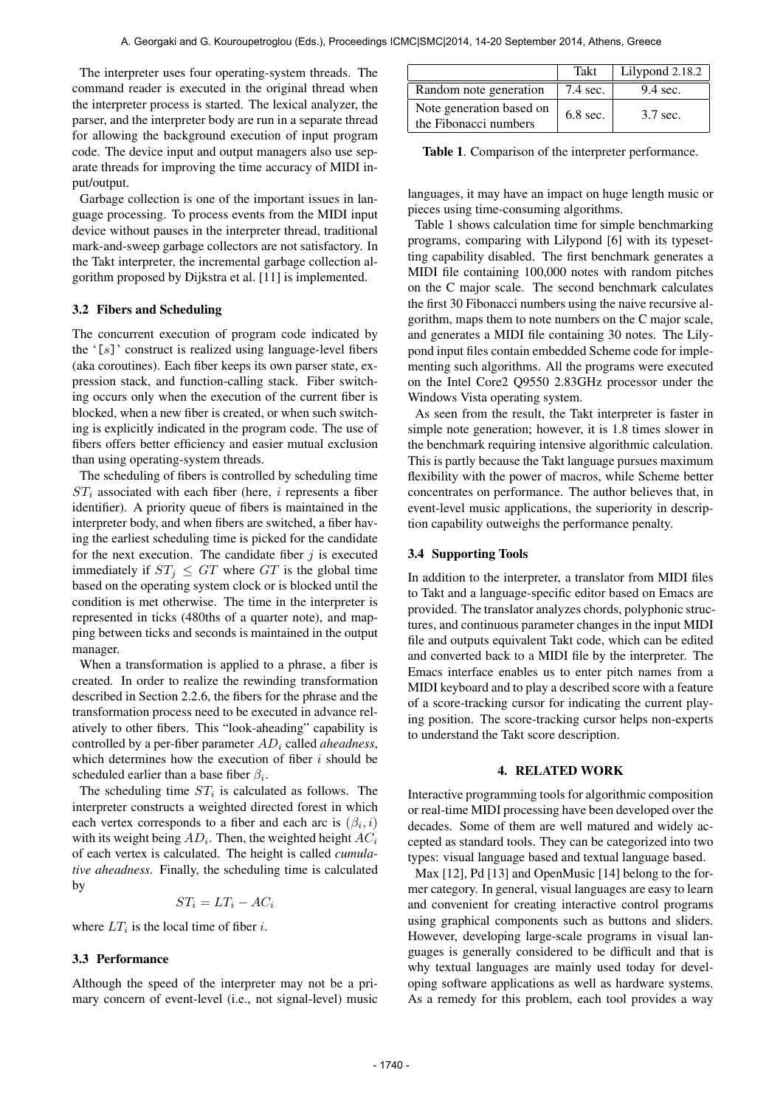The interpreter uses four operating-system threads. The command reader is executed in the original thread when the interpreter process is started. The lexical analyzer, the parser, and the interpreter body are run in a separate thread for allowing the background execution of input program code. The device input and output managers also use separate threads for improving the time accuracy of MIDI input/output.

Garbage collection is one of the important issues in language processing. To process events from the MIDI input device without pauses in the interpreter thread, traditional mark-and-sweep garbage collectors are not satisfactory. In the Takt interpreter, the incremental garbage collection algorithm proposed by Dijkstra et al. [11] is implemented.

## 3.2 Fibers and Scheduling

The concurrent execution of program code indicated by the  $'[s]$ ' construct is realized using language-level fibers (aka coroutines). Each fiber keeps its own parser state, expression stack, and function-calling stack. Fiber switching occurs only when the execution of the current fiber is blocked, when a new fiber is created, or when such switching is explicitly indicated in the program code. The use of fibers offers better efficiency and easier mutual exclusion than using operating-system threads.

The scheduling of fibers is controlled by scheduling time  $ST_i$  associated with each fiber (here, i represents a fiber identifier). A priority queue of fibers is maintained in the interpreter body, and when fibers are switched, a fiber having the earliest scheduling time is picked for the candidate for the next execution. The candidate fiber  $j$  is executed immediately if  $ST_i \le GT$  where GT is the global time based on the operating system clock or is blocked until the condition is met otherwise. The time in the interpreter is represented in ticks (480ths of a quarter note), and mapping between ticks and seconds is maintained in the output manager.

When a transformation is applied to a phrase, a fiber is created. In order to realize the rewinding transformation described in Section 2.2.6, the fibers for the phrase and the transformation process need to be executed in advance relatively to other fibers. This "look-aheading" capability is controlled by a per-fiber parameter AD<sup>i</sup> called *aheadness*, which determines how the execution of fiber  $i$  should be scheduled earlier than a base fiber  $\beta_i$ .

The scheduling time  $ST_i$  is calculated as follows. The interpreter constructs a weighted directed forest in which each vertex corresponds to a fiber and each arc is  $(\beta_i, i)$ with its weight being  $AD_i$ . Then, the weighted height  $AC_i$ of each vertex is calculated. The height is called *cumulative aheadness*. Finally, the scheduling time is calculated by

$$
ST_i = LT_i - AC_i
$$

where  $LT_i$  is the local time of fiber *i*.

### 3.3 Performance

Although the speed of the interpreter may not be a primary concern of event-level (i.e., not signal-level) music

|                                                   | Takt               | Lilypond 2.18.2 |
|---------------------------------------------------|--------------------|-----------------|
| Random note generation                            | $7.4 \text{ sec.}$ | $9.4$ sec.      |
| Note generation based on<br>the Fibonacci numbers | $6.8$ sec.         | 3.7 sec.        |

Table 1. Comparison of the interpreter performance.

languages, it may have an impact on huge length music or pieces using time-consuming algorithms.

Table 1 shows calculation time for simple benchmarking programs, comparing with Lilypond [6] with its typesetting capability disabled. The first benchmark generates a MIDI file containing 100,000 notes with random pitches on the C major scale. The second benchmark calculates the first 30 Fibonacci numbers using the naive recursive algorithm, maps them to note numbers on the C major scale, and generates a MIDI file containing 30 notes. The Lilypond input files contain embedded Scheme code for implementing such algorithms. All the programs were executed on the Intel Core2 Q9550 2.83GHz processor under the Windows Vista operating system.

As seen from the result, the Takt interpreter is faster in simple note generation; however, it is 1.8 times slower in the benchmark requiring intensive algorithmic calculation. This is partly because the Takt language pursues maximum flexibility with the power of macros, while Scheme better concentrates on performance. The author believes that, in event-level music applications, the superiority in description capability outweighs the performance penalty.

## 3.4 Supporting Tools

In addition to the interpreter, a translator from MIDI files to Takt and a language-specific editor based on Emacs are provided. The translator analyzes chords, polyphonic structures, and continuous parameter changes in the input MIDI file and outputs equivalent Takt code, which can be edited and converted back to a MIDI file by the interpreter. The Emacs interface enables us to enter pitch names from a MIDI keyboard and to play a described score with a feature of a score-tracking cursor for indicating the current playing position. The score-tracking cursor helps non-experts to understand the Takt score description.

## 4. RELATED WORK

Interactive programming tools for algorithmic composition or real-time MIDI processing have been developed over the decades. Some of them are well matured and widely accepted as standard tools. They can be categorized into two types: visual language based and textual language based.

Max [12], Pd [13] and OpenMusic [14] belong to the former category. In general, visual languages are easy to learn and convenient for creating interactive control programs using graphical components such as buttons and sliders. However, developing large-scale programs in visual languages is generally considered to be difficult and that is why textual languages are mainly used today for developing software applications as well as hardware systems. As a remedy for this problem, each tool provides a way